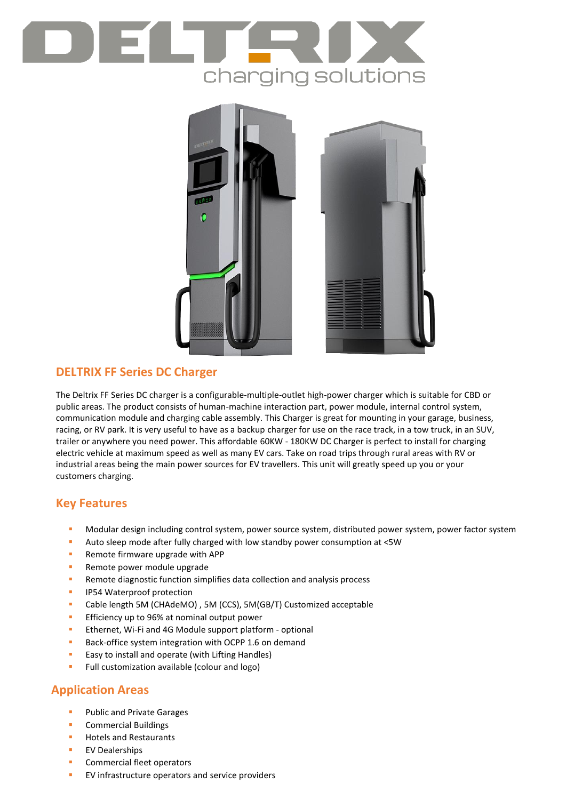# charging solutions



## **DELTRIX FF Series DC Charger**

The Deltrix FF Series DC charger is a configurable-multiple-outlet high-power charger which is suitable for CBD or public areas. The product consists of human-machine interaction part, power module, internal control system, communication module and charging cable assembly. This Charger is great for mounting in your garage, business, racing, or RV park. It is very useful to have as a backup charger for use on the race track, in a tow truck, in an SUV, trailer or anywhere you need power. This affordable 60KW - 180KW DC Charger is perfect to install for charging electric vehicle at maximum speed as well as many EV cars. Take on road trips through rural areas with RV or industrial areas being the main power sources for EV travellers. This unit will greatly speed up you or your customers charging.

### **Key Features**

- Modular design including control system, power source system, distributed power system, power factor system
- Auto sleep mode after fully charged with low standby power consumption at <5W
- **Remote firmware upgrade with APP**
- **Remote power module upgrade**
- **Remote diagnostic function simplifies data collection and analysis process**
- **IP54 Waterproof protection**
- Cable length 5M (CHAdeMO) , 5M (CCS), 5M(GB/T) Customized acceptable
- **Efficiency up to 96% at nominal output power**
- **EXECTE:** Ethernet, Wi-Fi and 4G Module support platform optional
- Back-office system integration with OCPP 1.6 on demand
- **Easy to install and operate (with Lifting Handles)**
- Full customization available (colour and logo)

# **Application Areas**

- Public and Private Garages
- **Commercial Buildings**
- **Hotels and Restaurants**
- EV Dealerships
- Commercial fleet operators
- EV infrastructure operators and service providers